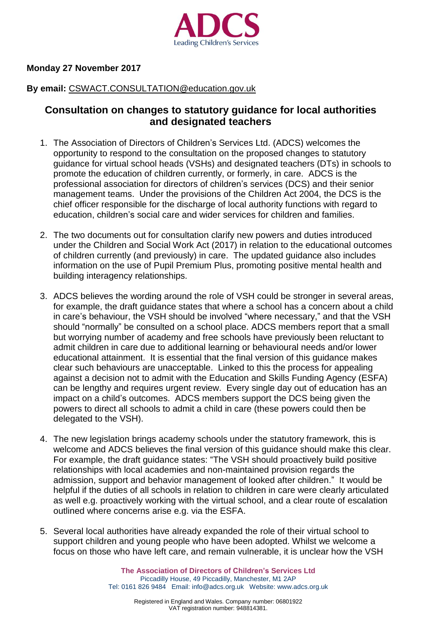

## **Monday 27 November 2017**

## **By email:** [CSWACT.CONSULTATION@education.gov.uk](mailto:CSWACT.CONSULTATION@education.gov.uk)

## **Consultation on changes to statutory guidance for local authorities and designated teachers**

- 1. The Association of Directors of Children's Services Ltd. (ADCS) welcomes the opportunity to respond to the consultation on the proposed changes to statutory guidance for virtual school heads (VSHs) and designated teachers (DTs) in schools to promote the education of children currently, or formerly, in care. ADCS is the professional association for directors of children's services (DCS) and their senior management teams. Under the provisions of the Children Act 2004, the DCS is the chief officer responsible for the discharge of local authority functions with regard to education, children's social care and wider services for children and families.
- 2. The two documents out for consultation clarify new powers and duties introduced under the Children and Social Work Act (2017) in relation to the educational outcomes of children currently (and previously) in care. The updated guidance also includes information on the use of Pupil Premium Plus, promoting positive mental health and building interagency relationships.
- 3. ADCS believes the wording around the role of VSH could be stronger in several areas, for example, the draft guidance states that where a school has a concern about a child in care's behaviour, the VSH should be involved "where necessary," and that the VSH should "normally" be consulted on a school place. ADCS members report that a small but worrying number of academy and free schools have previously been reluctant to admit children in care due to additional learning or behavioural needs and/or lower educational attainment. It is essential that the final version of this guidance makes clear such behaviours are unacceptable. Linked to this the process for appealing against a decision not to admit with the Education and Skills Funding Agency (ESFA) can be lengthy and requires urgent review. Every single day out of education has an impact on a child's outcomes. ADCS members support the DCS being given the powers to direct all schools to admit a child in care (these powers could then be delegated to the VSH).
- 4. The new legislation brings academy schools under the statutory framework, this is welcome and ADCS believes the final version of this guidance should make this clear. For example, the draft guidance states: "The VSH should proactively build positive relationships with local academies and non-maintained provision regards the admission, support and behavior management of looked after children." It would be helpful if the duties of all schools in relation to children in care were clearly articulated as well e.g. proactively working with the virtual school, and a clear route of escalation outlined where concerns arise e.g. via the ESFA.
- 5. Several local authorities have already expanded the role of their virtual school to support children and young people who have been adopted. Whilst we welcome a focus on those who have left care, and remain vulnerable, it is unclear how the VSH

**The Association of Directors of Children's Services Ltd** Piccadilly House, 49 Piccadilly, Manchester, M1 2AP Tel: 0161 826 9484 Email: [info@adcs.org.uk](mailto:info@adcs.org.uk) Website: [www.adcs.org.uk](http://www.adcs.org.uk/)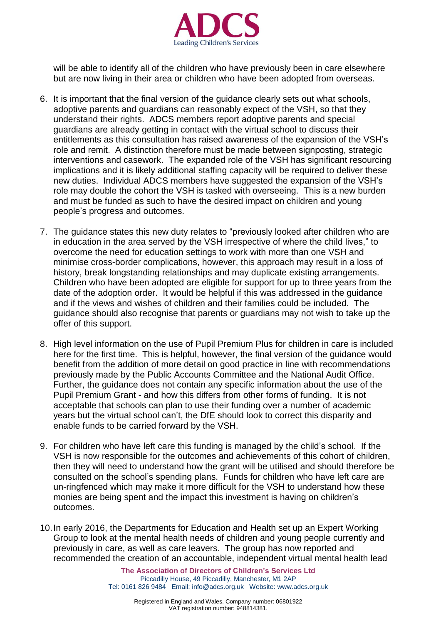

will be able to identify all of the children who have previously been in care elsewhere but are now living in their area or children who have been adopted from overseas.

- 6. It is important that the final version of the guidance clearly sets out what schools, adoptive parents and guardians can reasonably expect of the VSH, so that they understand their rights. ADCS members report adoptive parents and special guardians are already getting in contact with the virtual school to discuss their entitlements as this consultation has raised awareness of the expansion of the VSH's role and remit. A distinction therefore must be made between signposting, strategic interventions and casework. The expanded role of the VSH has significant resourcing implications and it is likely additional staffing capacity will be required to deliver these new duties. Individual ADCS members have suggested the expansion of the VSH's role may double the cohort the VSH is tasked with overseeing. This is a new burden and must be funded as such to have the desired impact on children and young people's progress and outcomes.
- 7. The guidance states this new duty relates to "previously looked after children who are in education in the area served by the VSH irrespective of where the child lives," to overcome the need for education settings to work with more than one VSH and minimise cross-border complications, however, this approach may result in a loss of history, break longstanding relationships and may duplicate existing arrangements. Children who have been adopted are eligible for support for up to three years from the date of the adoption order. It would be helpful if this was addressed in the guidance and if the views and wishes of children and their families could be included. The guidance should also recognise that parents or guardians may not wish to take up the offer of this support.
- 8. High level information on the use of Pupil Premium Plus for children in care is included here for the first time. This is helpful, however, the final version of the guidance would benefit from the addition of more detail on good practice in line with recommendations previously made by the Public Accounts [Committee](https://publications.parliament.uk/pa/cm201516/cmselect/cmpubacc/327/327.pdf) and the [National](https://www.nao.org.uk/report/funding-for-disadvantaged-pupils/) Audit Office. Further, the guidance does not contain any specific information about the use of the Pupil Premium Grant - and how this differs from other forms of funding. It is not acceptable that schools can plan to use their funding over a number of academic years but the virtual school can't, the DfE should look to correct this disparity and enable funds to be carried forward by the VSH.
- 9. For children who have left care this funding is managed by the child's school. If the VSH is now responsible for the outcomes and achievements of this cohort of children, then they will need to understand how the grant will be utilised and should therefore be consulted on the school's spending plans. Funds for children who have left care are un-ringfenced which may make it more difficult for the VSH to understand how these monies are being spent and the impact this investment is having on children's outcomes.
- 10.In early 2016, the Departments for Education and Health set up an Expert Working Group to look at the mental health needs of children and young people currently and previously in care, as well as care leavers. The group has now reported and recommended the creation of an accountable, independent virtual mental health lead